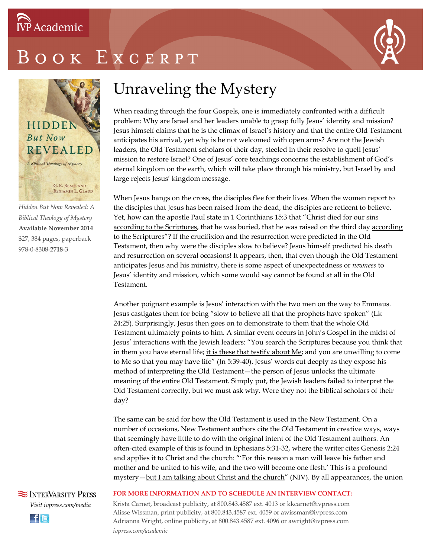

# OOK EXCERPT



*Hidden But Now Revealed: A Biblical Theology of Mystery* **Available November 2014** \$27, 384 pages, paperback 978-0-8308-**2718**-3

### Unraveling the Mystery

When reading through the four Gospels, one is immediately confronted with a difficult problem: Why are Israel and her leaders unable to grasp fully Jesus' identity and mission? Jesus himself claims that he is the climax of Israel's history and that the entire Old Testament anticipates his arrival, yet why is he not welcomed with open arms? Are not the Jewish leaders, the Old Testament scholars of their day, steeled in their resolve to quell Jesus' mission to restore Israel? One of Jesus' core teachings concerns the establishment of God's eternal kingdom on the earth, which will take place through his ministry, but Israel by and large rejects Jesus' kingdom message.

When Jesus hangs on the cross, the disciples flee for their lives. When the women report to the disciples that Jesus has been raised from the dead, the disciples are reticent to believe. Yet, how can the apostle Paul state in 1 Corinthians 15:3 that "Christ died for our sins according to the Scriptures, that he was buried, that he was raised on the third day according to the Scriptures"? If the crucifixion and the resurrection were predicted in the Old Testament, then why were the disciples slow to believe? Jesus himself predicted his death and resurrection on several occasions! It appears, then, that even though the Old Testament anticipates Jesus and his ministry, there is some aspect of unexpectedness or *newness* to Jesus' identity and mission, which some would say cannot be found at all in the Old Testament.

Another poignant example is Jesus' interaction with the two men on the way to Emmaus. Jesus castigates them for being "slow to believe all that the prophets have spoken" (Lk 24:25). Surprisingly, Jesus then goes on to demonstrate to them that the whole Old Testament ultimately points to him. A similar event occurs in John's Gospel in the midst of Jesus' interactions with the Jewish leaders: "You search the Scriptures because you think that in them you have eternal life; it is these that testify about  $Me$ ; and you are unwilling to come to Me so that you may have life" (Jn 5:39-40). Jesus' words cut deeply as they expose his method of interpreting the Old Testament—the person of Jesus unlocks the ultimate meaning of the entire Old Testament. Simply put, the Jewish leaders failed to interpret the Old Testament correctly, but we must ask why. Were they not the biblical scholars of their day?

The same can be said for how the Old Testament is used in the New Testament. On a number of occasions, New Testament authors cite the Old Testament in creative ways, ways that seemingly have little to do with the original intent of the Old Testament authors. An often-cited example of this is found in Ephesians 5:31-32, where the writer cites Genesis 2:24 and applies it to Christ and the church: "'For this reason a man will leave his father and mother and be united to his wife, and the two will become one flesh.' This is a profound mystery - but I am talking about Christ and the church" (NIV). By all appearances, the union

**SEX INTERVARSITY PRESS** *Visit ivpress.com/media* **Ele** 

#### **FOR MORE INFORMATION AND TO SCHEDULE AN INTERVIEW CONTACT:**

Krista Carnet, broadcast publicity, at 800.843.4587 ext. 4013 or kkcarnet@ivpress.com Alisse Wissman, print publicity, at 800.843.4587 ext. 4059 or awissman@ivpress.com Adrianna Wright, online publicity, at 800.843.4587 ext. 4096 or awright@ivpress.com *ivpress.com/academic*